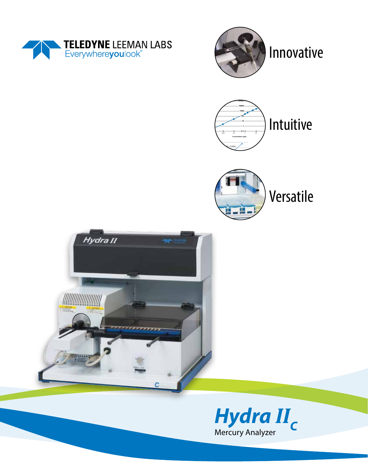









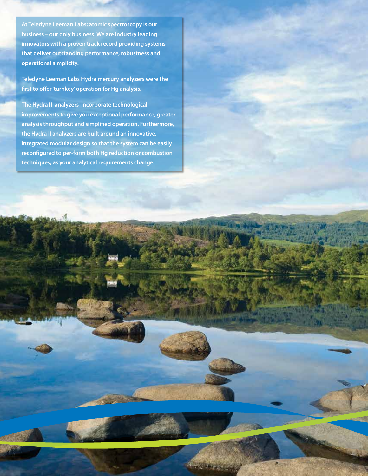**At Teledyne Leeman Labs; atomic spectroscopy is our business – our only business. We are industry leading innovators with a proven track record providing systems that deliver outstanding performance, robustness and operational simplicity.** 

**Teledyne Leeman Labs Hydra mercury analyzers were the first to offer 'turnkey' operation for Hg analysis.**

**The Hydra II analyzers incorporate technological improvements to give you exceptional performance, greater analysis throughput and simplified operation. Furthermore, the Hydra II analyzers are built around an innovative, integrated modular design so that the system can be easily reconfigured to per-form both Hg reduction or combustion techniques, as your analytical requirements change.**

 $\sim 0.000$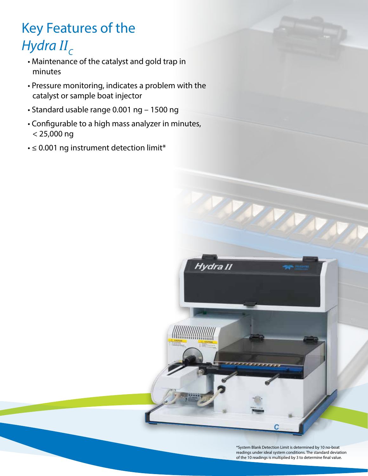# Key Features of the *Hydra II<sub>C</sub>*

- Maintenance of the catalyst and gold trap in minutes
- Pressure monitoring, indicates a problem with the catalyst or sample boat injector
- Standard usable range 0.001 ng 1500 ng
- Configurable to a high mass analyzer in minutes, < 25,000 ng
- ≤ 0.001 ng instrument detection limit\*



Hydra II

<u>MANAMAN M</u>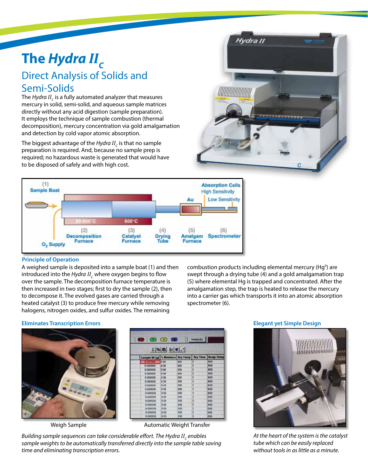## **The** *Hydra II<sup>C</sup>* Direct Analysis of Solids and Semi-Solids

The *Hydra II<sup>C</sup>* is a fully automated analyzer that measures mercury in solid, semi-solid, and aqueous sample matrices directly without any acid digestion (sample preparation). It employs the technique of sample combustion (thermal decomposition), mercury concentration via gold amalgamation and detection by cold vapor atomic absorption.

The biggest advantage of the *Hydra II<sub>c</sub>* is that no sample preparation is required. And, because no sample prep is required; no hazardous waste is generated that would have to be disposed of safely and with high cost.





#### **Principle of Operation**

A weighed sample is deposited into a sample boat (1) and then introduced into the *Hydra II<sub>c</sub>* where oxygen begins to flow over the sample. The decomposition furnace temperature is then increased in two stages; first to dry the sample (2), then to decompose it. The evolved gases are carried through a heated catalyst (3) to produce free mercury while removing halogens, nitrogen oxides, and sulfur oxides. The remaining

combustion products including elemental mercury (Hg<sup>0</sup>) are swept through a drying tube (4) and a gold amalgamation trap (5) where elemental Hg is trapped and concentrated. After the amalgamation step, the trap is heated to release the mercury into a carrier gas which transports it into an atomic absorption spectrometer (6).

#### **Eliminates Transcription Errors**



| $X$ as $E$ $H$                                    |      |     |   |                    |  |  |
|---------------------------------------------------|------|-----|---|--------------------|--|--|
| Sample Wt [g]   % Moletiare   Dry Temp   Dry Time |      |     |   | <b>Derrip Term</b> |  |  |
|                                                   | 0.00 | 500 |   | 600                |  |  |
| 0.000000                                          | 0.00 | 300 |   | 800                |  |  |
| 0.000000                                          | 0.00 | 300 |   | 800                |  |  |
| 0.000000                                          | 0(0) | 300 |   | <b>BOO</b>         |  |  |
| 0.000000                                          | 000  | 500 | ۹ | 600                |  |  |
| 0.00000                                           | 0.00 | 300 | ١ | 800                |  |  |
| 0.00000                                           | 0.00 | 200 |   | ROO                |  |  |
| 0.000000                                          | 0.00 | 300 | ١ | 600                |  |  |
| 0.000000                                          | 000  | 300 |   | 800                |  |  |
| 0.000000                                          | 0.00 | 300 |   | 600                |  |  |
| 0.00000                                           | 0.00 | 300 |   | <b>BOO</b>         |  |  |
| 0.000000                                          | 0.00 | 300 |   | 800                |  |  |
| 0.000000                                          | 0.00 | 300 |   | 800                |  |  |
| 0.000000                                          | 0.00 | 300 |   | 60O                |  |  |
| 8.00000                                           | 000  | 300 | ١ | 800                |  |  |

Weigh Sample **Automatic Weight Transfer** 

 $B$ uilding sample sequences can take considerable effort. The Hydra II<sub>c</sub> enables *sample weights to be automatically transferred directly into the sample table saving time and eliminating transcription errors.*

#### **Elegant yet Simple Design**



*At the heart of the system is the catalyst tube which can be easily replaced without tools in as little as a minute.*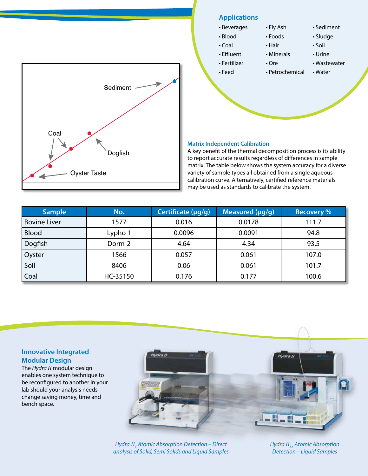

### **Applications**

#### • Beverages

• Blood

• Coal • Effluent • Fertilizer • Feed

- Foods
	- Hair

• Ore

• Fly Ash

• Minerals

• Petrochemical

• Urine • Wastewater

• Sediment • Sludge • Soil

• Water

#### **Matrix Independent Calibration**

A key benefit of the thermal decomposition process is its ability to report accurate results regardless of differences in sample matrix. The table below shows the system accuracy for a diverse variety of sample types all obtained from a single aqueous calibration curve. Alternatively, certified reference materials may be used as standards to calibrate the system.

| <b>Sample</b>       | No.      | Certificate (µg/g) | Measured $(\mu g/g)$ | <b>Recovery %</b> |
|---------------------|----------|--------------------|----------------------|-------------------|
| <b>Bovine Liver</b> | 1577     | 0.016              | 0.0178               | 111.7             |
| <b>Blood</b>        | Lypho 1  | 0.0096             | 0.0091               | 94.8              |
| Dogfish             | Dorm-2   | 4.64               | 4.34                 | 93.5              |
| Oyster              | 1566     | 0.057              | 0.061                | 107.0             |
| Soil                | 8406     | 0.06               | 0.061                | 101.7             |
| Coal                | HC-35150 | 0.176              | 0.177                | 100.6             |

#### **Innovative Integrated Modular Design**

The *Hydra II* modular design enables one system technique to be reconfigured to another in your lab should your analysis needs change saving money, time and bench space.



*Hydra II<sup>C</sup> Atomic Absorption Detection – Direct analysis of Solid, Semi Solids and Liquid Samples* *Hydra II<sub>AA</sub>* Atomic Absorption *Detection – Liquid Samples*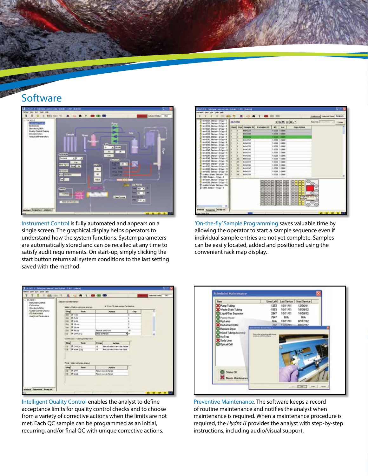### **Software**



**SAVIDADE** 

Instrument Control is fully automated and appears on a single screen. The graphical display helps operators to understand how the system functions. System parameters are automatically stored and can be recalled at any time to satisfy audit requirements. On start-up, simply clicking the start button returns all system conditions to the last setting saved with the method.



'On-the-fly' Sample Programming saves valuable time by allowing the operator to start a sample sequence even if individual sample entries are not yet complete. Samples can be easily located, added and positioned using the convenient rack map display.



Intelligent Quality Control enables the analyst to define acceptance limits for quality control checks and to choose from a variety of corrective actions when the limits are not met. Each QC sample can be programmed as an initial, recurring, and/or final QC with unique corrective actions.



Preventive Maintenance. The software keeps a record of routine maintenance and notifies the analyst when maintenance is required. When a maintenance procedure is required, the *Hydra II* provides the analyst with step-by-step instructions, including audio/visual support.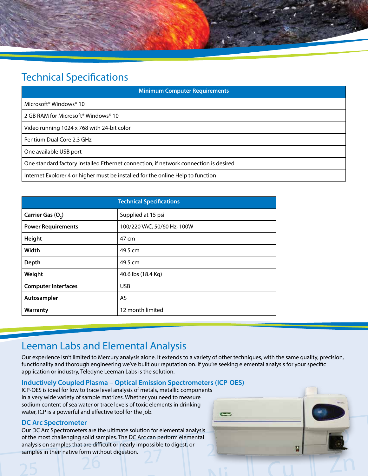

### Technical Specifications

| <b>Minimum Computer Requirements</b>                                                 |  |  |  |  |
|--------------------------------------------------------------------------------------|--|--|--|--|
| Microsoft <sup>®</sup> Windows <sup>®</sup> 10                                       |  |  |  |  |
| 2 GB RAM for Microsoft® Windows® 10                                                  |  |  |  |  |
| Video running 1024 x 768 with 24-bit color                                           |  |  |  |  |
| Pentium Dual Core 2.3 GHz                                                            |  |  |  |  |
| One available USB port                                                               |  |  |  |  |
| One standard factory installed Ethernet connection, if network connection is desired |  |  |  |  |
| Internet Explorer 4 or higher must be installed for the online Help to function      |  |  |  |  |

| <b>Technical Specifications</b> |                             |  |
|---------------------------------|-----------------------------|--|
| Carrier Gas (O <sub>2</sub> )   | Supplied at 15 psi          |  |
| <b>Power Requirements</b>       | 100/220 VAC, 50/60 Hz, 100W |  |
| Height                          | 47 cm                       |  |
| Width                           | 49.5 cm                     |  |
| Depth                           | 49.5 cm                     |  |
| Weight                          | 40.6 lbs (18.4 Kg)          |  |
| <b>Computer Interfaces</b>      | <b>USB</b>                  |  |
| Autosampler                     | <b>AS</b>                   |  |
| Warranty                        | 12 month limited            |  |

### Leeman Labs and Elemental Analysis

Our experience isn't limited to Mercury analysis alone. It extends to a variety of other techniques, with the same quality, precision, functionality and thorough engineering we've built our reputation on. If you're seeking elemental analysis for your specific application or industry, Teledyne Leeman Labs is the solution.

#### **Inductively Coupled Plasma – Optical Emission Spectrometers (ICP-OES)**

ICP-OES is ideal for low to trace level analysis of metals, metallic components in a very wide variety of sample matrices. Whether you need to measure sodium content of sea water or trace levels of toxic elements in drinking water, ICP is a powerful and effective tool for the job.

#### **DC Arc Spectrometer**

Our DC Arc Spectrometers are the ultimate solution for elemental analysis of the most challenging solid samples. The DC Arc can perform elemental analysis on samples that are difficult or nearly impossible to digest, or samples in their native form without digestion.